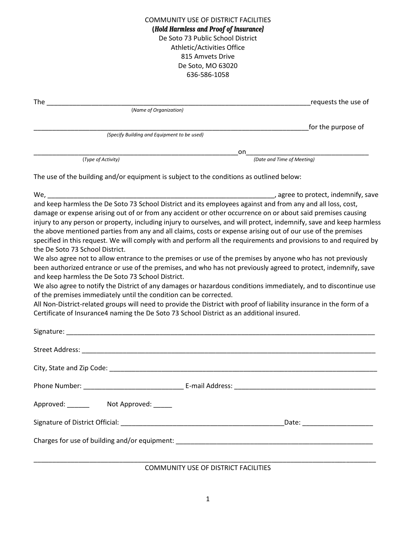COMMUNITY USE OF DISTRICT FACILITIES **(***Hold Harmless and Proof of Insurance)* De Soto 73 Public School District Athletic/Activities Office 815 Amvets Drive De Soto, MO 63020 636-586-1058

|                                                                                                                                                                                                                                                                                                                                                                                                                                                                                                                                                                                                                                                                                                                                                                                                                                                                                                                                                                                                                                                                                                                                                                                                                                                                                                                               | requests the use of        |  |  |  |
|-------------------------------------------------------------------------------------------------------------------------------------------------------------------------------------------------------------------------------------------------------------------------------------------------------------------------------------------------------------------------------------------------------------------------------------------------------------------------------------------------------------------------------------------------------------------------------------------------------------------------------------------------------------------------------------------------------------------------------------------------------------------------------------------------------------------------------------------------------------------------------------------------------------------------------------------------------------------------------------------------------------------------------------------------------------------------------------------------------------------------------------------------------------------------------------------------------------------------------------------------------------------------------------------------------------------------------|----------------------------|--|--|--|
| (Name of Organization)                                                                                                                                                                                                                                                                                                                                                                                                                                                                                                                                                                                                                                                                                                                                                                                                                                                                                                                                                                                                                                                                                                                                                                                                                                                                                                        |                            |  |  |  |
|                                                                                                                                                                                                                                                                                                                                                                                                                                                                                                                                                                                                                                                                                                                                                                                                                                                                                                                                                                                                                                                                                                                                                                                                                                                                                                                               | for the purpose of         |  |  |  |
| (Specify Building and Equipment to be used)                                                                                                                                                                                                                                                                                                                                                                                                                                                                                                                                                                                                                                                                                                                                                                                                                                                                                                                                                                                                                                                                                                                                                                                                                                                                                   |                            |  |  |  |
|                                                                                                                                                                                                                                                                                                                                                                                                                                                                                                                                                                                                                                                                                                                                                                                                                                                                                                                                                                                                                                                                                                                                                                                                                                                                                                                               | on                         |  |  |  |
| (Type of Activity)                                                                                                                                                                                                                                                                                                                                                                                                                                                                                                                                                                                                                                                                                                                                                                                                                                                                                                                                                                                                                                                                                                                                                                                                                                                                                                            | (Date and Time of Meeting) |  |  |  |
| The use of the building and/or equipment is subject to the conditions as outlined below:                                                                                                                                                                                                                                                                                                                                                                                                                                                                                                                                                                                                                                                                                                                                                                                                                                                                                                                                                                                                                                                                                                                                                                                                                                      |                            |  |  |  |
|                                                                                                                                                                                                                                                                                                                                                                                                                                                                                                                                                                                                                                                                                                                                                                                                                                                                                                                                                                                                                                                                                                                                                                                                                                                                                                                               |                            |  |  |  |
| and keep harmless the De Soto 73 School District and its employees against and from any and all loss, cost,<br>damage or expense arising out of or from any accident or other occurrence on or about said premises causing<br>injury to any person or property, including injury to ourselves, and will protect, indemnify, save and keep harmless<br>the above mentioned parties from any and all claims, costs or expense arising out of our use of the premises<br>specified in this request. We will comply with and perform all the requirements and provisions to and required by<br>the De Soto 73 School District.<br>We also agree not to allow entrance to the premises or use of the premises by anyone who has not previously<br>been authorized entrance or use of the premises, and who has not previously agreed to protect, indemnify, save<br>and keep harmless the De Soto 73 School District.<br>We also agree to notify the District of any damages or hazardous conditions immediately, and to discontinue use<br>of the premises immediately until the condition can be corrected.<br>All Non-District-related groups will need to provide the District with proof of liability insurance in the form of a<br>Certificate of Insurance4 naming the De Soto 73 School District as an additional insured. |                            |  |  |  |
|                                                                                                                                                                                                                                                                                                                                                                                                                                                                                                                                                                                                                                                                                                                                                                                                                                                                                                                                                                                                                                                                                                                                                                                                                                                                                                                               |                            |  |  |  |
|                                                                                                                                                                                                                                                                                                                                                                                                                                                                                                                                                                                                                                                                                                                                                                                                                                                                                                                                                                                                                                                                                                                                                                                                                                                                                                                               |                            |  |  |  |
|                                                                                                                                                                                                                                                                                                                                                                                                                                                                                                                                                                                                                                                                                                                                                                                                                                                                                                                                                                                                                                                                                                                                                                                                                                                                                                                               |                            |  |  |  |
|                                                                                                                                                                                                                                                                                                                                                                                                                                                                                                                                                                                                                                                                                                                                                                                                                                                                                                                                                                                                                                                                                                                                                                                                                                                                                                                               |                            |  |  |  |
| Approved: _______ Not Approved: ____                                                                                                                                                                                                                                                                                                                                                                                                                                                                                                                                                                                                                                                                                                                                                                                                                                                                                                                                                                                                                                                                                                                                                                                                                                                                                          |                            |  |  |  |
| Signature of District Official: National Assembly of District Official:                                                                                                                                                                                                                                                                                                                                                                                                                                                                                                                                                                                                                                                                                                                                                                                                                                                                                                                                                                                                                                                                                                                                                                                                                                                       | Date: __________________   |  |  |  |

Charges for use of building and/or equipment: \_\_\_\_\_\_\_\_\_\_\_\_\_\_\_\_\_\_\_\_\_\_\_\_\_\_\_\_\_\_\_\_\_\_\_\_\_\_\_\_\_\_\_\_\_\_\_\_\_\_\_\_\_

\_\_\_\_\_\_\_\_\_\_\_\_\_\_\_\_\_\_\_\_\_\_\_\_\_\_\_\_\_\_\_\_\_\_\_\_\_\_\_\_\_\_\_\_\_\_\_\_\_\_\_\_\_\_\_\_\_\_\_\_\_\_\_\_\_\_\_\_\_\_\_\_\_\_\_\_\_\_\_\_\_\_\_\_\_\_\_\_\_\_\_\_ COMMUNITY USE OF DISTRICT FACILITIES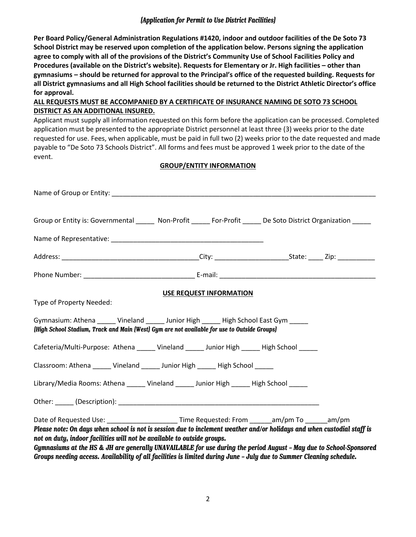#### *(Application for Permit to Use District Facilities)*

**Per Board Policy/General Administration Regulations #1420, indoor and outdoor facilities of the De Soto 73 School District may be reserved upon completion of the application below. Persons signing the application agree to comply with all of the provisions of the District's Community Use of School Facilities Policy and Procedures (available on the District's website). Requests for Elementary or Jr. High facilities – other than gymnasiums – should be returned for approval to the Principal's office of the requested building. Requests for all District gymnasiums and all High School facilities should be returned to the District Athletic Director's office for approval.**

## **ALL REQUESTS MUST BE ACCOMPANIED BY A CERTIFICATE OF INSURANCE NAMING DE SOTO 73 SCHOOL DISTRICT AS AN ADDITIONAL INSURED.**

Applicant must supply all information requested on this form before the application can be processed. Completed application must be presented to the appropriate District personnel at least three (3) weeks prior to the date requested for use. Fees, when applicable, must be paid in full two (2) weeks prior to the date requested and made payable to "De Soto 73 Schools District". All forms and fees must be approved 1 week prior to the date of the event.

### **GROUP/ENTITY INFORMATION**

| Name of Group or Entity: Name of Group or Entity:                                                                                                                                                                                                                                                                                                                                                                                                                                                                                                  |  |  |  |  |  |
|----------------------------------------------------------------------------------------------------------------------------------------------------------------------------------------------------------------------------------------------------------------------------------------------------------------------------------------------------------------------------------------------------------------------------------------------------------------------------------------------------------------------------------------------------|--|--|--|--|--|
| Group or Entity is: Governmental ______ Non-Profit _____ For-Profit _____ De Soto District Organization _____                                                                                                                                                                                                                                                                                                                                                                                                                                      |  |  |  |  |  |
|                                                                                                                                                                                                                                                                                                                                                                                                                                                                                                                                                    |  |  |  |  |  |
|                                                                                                                                                                                                                                                                                                                                                                                                                                                                                                                                                    |  |  |  |  |  |
|                                                                                                                                                                                                                                                                                                                                                                                                                                                                                                                                                    |  |  |  |  |  |
| <b>USE REQUEST INFORMATION</b><br>Type of Property Needed:                                                                                                                                                                                                                                                                                                                                                                                                                                                                                         |  |  |  |  |  |
| Gymnasium: Athena ______ Vineland ______ Junior High ______ High School East Gym _____<br>[High School Stadium, Track and Main [West] Gym are not available for use to Outside Groups]                                                                                                                                                                                                                                                                                                                                                             |  |  |  |  |  |
| Cafeteria/Multi-Purpose: Athena ______ Vineland ______ Junior High _____ High School _____                                                                                                                                                                                                                                                                                                                                                                                                                                                         |  |  |  |  |  |
| Classroom: Athena ______ Vineland ______ Junior High ______ High School ______                                                                                                                                                                                                                                                                                                                                                                                                                                                                     |  |  |  |  |  |
| Library/Media Rooms: Athena ______ Vineland ______ Junior High _____ High School _____                                                                                                                                                                                                                                                                                                                                                                                                                                                             |  |  |  |  |  |
|                                                                                                                                                                                                                                                                                                                                                                                                                                                                                                                                                    |  |  |  |  |  |
| Date of Requested Use: ________________________Time Requested: From ______am/pm To ______am/pm<br>Please note: On days when school is not is session due to inclement weather and/or holidays and when custodial staff is<br>not on duty, indoor facilities will not be available to outside groups.<br>Gymnasiums at the HS & JH are generally UNAVAILABLE for use during the period August - May due to School-Sponsored<br>Groups needing access. Availability of all facilities is limited during June - July due to Summer Cleaning schedule. |  |  |  |  |  |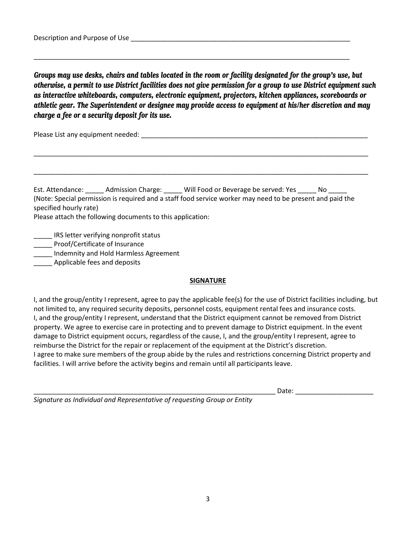*Groups may use desks, chairs and tables located in the room or facility designated for the group's use, but otherwise, a permit to use District facilities does not give permission for a group to use District equipment such as interactive whiteboards, computers, electronic equipment, projectors, kitchen appliances, scoreboards or athletic gear. The Superintendent or designee may provide access to equipment at his/her discretion and may charge a fee or a security deposit for its use.*

\_\_\_\_\_\_\_\_\_\_\_\_\_\_\_\_\_\_\_\_\_\_\_\_\_\_\_\_\_\_\_\_\_\_\_\_\_\_\_\_\_\_\_\_\_\_\_\_\_\_\_\_\_\_\_\_\_\_\_\_\_\_\_\_\_\_\_\_\_\_\_\_\_\_\_\_\_\_\_\_\_\_\_\_\_

Please List any equipment needed:  $\blacksquare$ 

Est. Attendance: \_\_\_\_\_\_ Admission Charge: \_\_\_\_\_ Will Food or Beverage be served: Yes \_\_\_\_\_ No \_\_\_\_\_ (Note: Special permission is required and a staff food service worker may need to be present and paid the specified hourly rate)

\_\_\_\_\_\_\_\_\_\_\_\_\_\_\_\_\_\_\_\_\_\_\_\_\_\_\_\_\_\_\_\_\_\_\_\_\_\_\_\_\_\_\_\_\_\_\_\_\_\_\_\_\_\_\_\_\_\_\_\_\_\_\_\_\_\_\_\_\_\_\_\_\_\_\_\_\_\_\_\_\_\_\_\_\_\_\_\_\_\_

\_\_\_\_\_\_\_\_\_\_\_\_\_\_\_\_\_\_\_\_\_\_\_\_\_\_\_\_\_\_\_\_\_\_\_\_\_\_\_\_\_\_\_\_\_\_\_\_\_\_\_\_\_\_\_\_\_\_\_\_\_\_\_\_\_\_\_\_\_\_\_\_\_\_\_\_\_\_\_\_\_\_\_\_\_\_\_\_\_\_

Please attach the following documents to this application:

\_\_\_\_\_ IRS letter verifying nonprofit status

**Proof/Certificate of Insurance** 

\_\_\_\_\_ Indemnity and Hold Harmless Agreement

\_\_\_\_\_ Applicable fees and deposits

#### **SIGNATURE**

I, and the group/entity I represent, agree to pay the applicable fee(s) for the use of District facilities including, but not limited to, any required security deposits, personnel costs, equipment rental fees and insurance costs. I, and the group/entity I represent, understand that the District equipment cannot be removed from District property. We agree to exercise care in protecting and to prevent damage to District equipment. In the event damage to District equipment occurs, regardless of the cause, I, and the group/entity I represent, agree to reimburse the District for the repair or replacement of the equipment at the District's discretion. I agree to make sure members of the group abide by the rules and restrictions concerning District property and facilities. I will arrive before the activity begins and remain until all participants leave.

Date:  $\Box$ 

*Signature as Individual and Representative of requesting Group or Entity*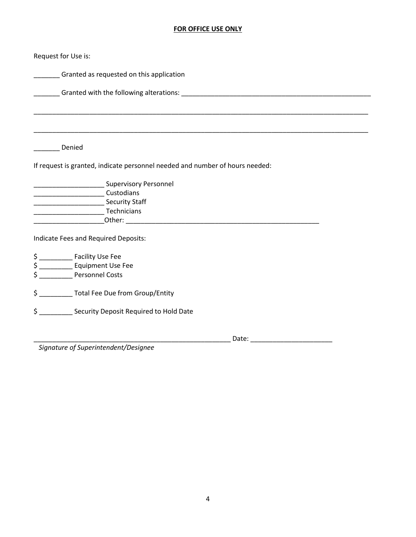# **FOR OFFICE USE ONLY**

| Request for Use is:                                                                                                                                                                                                            |  |  |  |  |
|--------------------------------------------------------------------------------------------------------------------------------------------------------------------------------------------------------------------------------|--|--|--|--|
| Granted as requested on this application                                                                                                                                                                                       |  |  |  |  |
| Granted with the following alterations: Letter and the set of the set of the set of the set of the set of the set of the set of the set of the set of the set of the set of the set of the set of the set of the set of the se |  |  |  |  |
|                                                                                                                                                                                                                                |  |  |  |  |
|                                                                                                                                                                                                                                |  |  |  |  |
| Denied                                                                                                                                                                                                                         |  |  |  |  |
| If request is granted, indicate personnel needed and number of hours needed:                                                                                                                                                   |  |  |  |  |
| <b>EXAMPLE 2018</b> Supervisory Personnel                                                                                                                                                                                      |  |  |  |  |
|                                                                                                                                                                                                                                |  |  |  |  |
| <b>Maria Company Security Staff</b>                                                                                                                                                                                            |  |  |  |  |
|                                                                                                                                                                                                                                |  |  |  |  |
|                                                                                                                                                                                                                                |  |  |  |  |
| Indicate Fees and Required Deposits:                                                                                                                                                                                           |  |  |  |  |
|                                                                                                                                                                                                                                |  |  |  |  |
| \$ ______________ Equipment Use Fee                                                                                                                                                                                            |  |  |  |  |
| \$ Personnel Costs                                                                                                                                                                                                             |  |  |  |  |
| \$ ____________ Total Fee Due from Group/Entity                                                                                                                                                                                |  |  |  |  |
| Security Deposit Required to Hold Date<br>\$                                                                                                                                                                                   |  |  |  |  |
| Date:                                                                                                                                                                                                                          |  |  |  |  |

*Signature of Superintendent/Designee*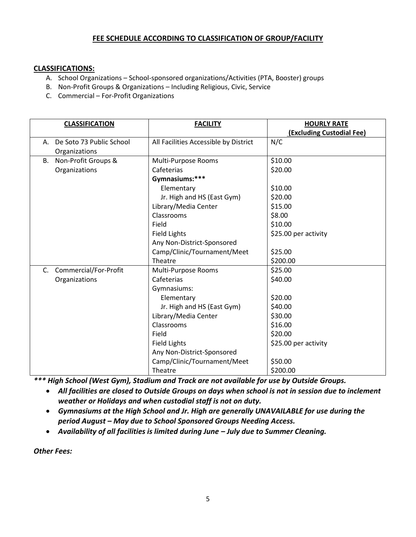## **FEE SCHEDULE ACCORDING TO CLASSIFICATION OF GROUP/FACILITY**

### **CLASSIFICATIONS:**

- A. School Organizations School-sponsored organizations/Activities (PTA, Booster) groups
- B. Non-Profit Groups & Organizations Including Religious, Civic, Service
- C. Commercial For-Profit Organizations

|    | <b>CLASSIFICATION</b>       | <b>FACILITY</b>                       | <b>HOURLY RATE</b>        |
|----|-----------------------------|---------------------------------------|---------------------------|
|    |                             |                                       | (Excluding Custodial Fee) |
|    | A. De Soto 73 Public School | All Facilities Accessible by District | N/C                       |
|    | Organizations               |                                       |                           |
|    | B. Non-Profit Groups &      | Multi-Purpose Rooms                   | \$10.00                   |
|    | Organizations               | Cafeterias                            | \$20.00                   |
|    |                             | Gymnasiums:***                        |                           |
|    |                             | Elementary                            | \$10.00                   |
|    |                             | Jr. High and HS (East Gym)            | \$20.00                   |
|    |                             | Library/Media Center                  | \$15.00                   |
|    |                             | Classrooms                            | \$8.00                    |
|    |                             | Field                                 | \$10.00                   |
|    |                             | <b>Field Lights</b>                   | \$25.00 per activity      |
|    |                             | Any Non-District-Sponsored            |                           |
|    |                             | Camp/Clinic/Tournament/Meet           | \$25.00                   |
|    |                             | Theatre                               | \$200.00                  |
| C. | Commercial/For-Profit       | Multi-Purpose Rooms                   | \$25.00                   |
|    | Organizations               | Cafeterias                            | \$40.00                   |
|    |                             | Gymnasiums:                           |                           |
|    |                             | Elementary                            | \$20.00                   |
|    |                             | Jr. High and HS (East Gym)            | \$40.00                   |
|    |                             | Library/Media Center                  | \$30.00                   |
|    |                             | Classrooms                            | \$16.00                   |
|    |                             | Field                                 | \$20.00                   |
|    |                             | <b>Field Lights</b>                   | \$25.00 per activity      |
|    |                             | Any Non-District-Sponsored            |                           |
|    |                             | Camp/Clinic/Tournament/Meet           | \$50.00                   |
|    |                             | Theatre                               | \$200.00                  |

*\*\*\* High School (West Gym), Stadium and Track are not available for use by Outside Groups.*

- *All facilities are closed to Outside Groups on days when school is not in session due to inclement weather or Holidays and when custodial staff is not on duty.*
- *Gymnasiums at the High School and Jr. High are generally UNAVAILABLE for use during the period August – May due to School Sponsored Groups Needing Access.*
- *Availability of all facilities is limited during June – July due to Summer Cleaning.*

*Other Fees:*